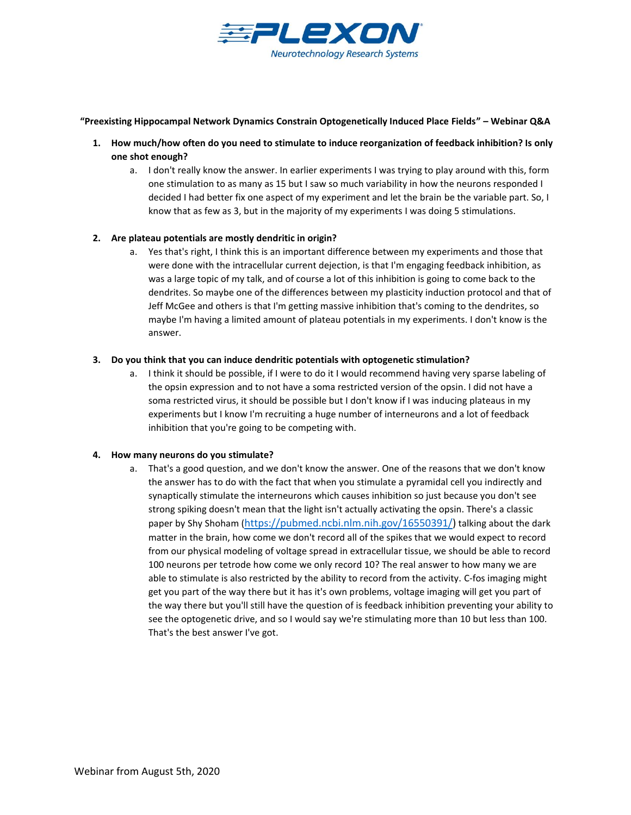

#### **"Preexisting Hippocampal Network Dynamics Constrain Optogenetically Induced Place Fields" – Webinar Q&A**

- **1. How much/how often do you need to stimulate to induce reorganization of feedback inhibition? Is only one shot enough?**
	- a. I don't really know the answer. In earlier experiments I was trying to play around with this, form one stimulation to as many as 15 but I saw so much variability in how the neurons responded I decided I had better fix one aspect of my experiment and let the brain be the variable part. So, I know that as few as 3, but in the majority of my experiments I was doing 5 stimulations.

## **2. Are plateau potentials are mostly dendritic in origin?**

a. Yes that's right, I think this is an important difference between my experiments and those that were done with the intracellular current dejection, is that I'm engaging feedback inhibition, as was a large topic of my talk, and of course a lot of this inhibition is going to come back to the dendrites. So maybe one of the differences between my plasticity induction protocol and that of Jeff McGee and others is that I'm getting massive inhibition that's coming to the dendrites, so maybe I'm having a limited amount of plateau potentials in my experiments. I don't know is the answer.

## **3. Do you think that you can induce dendritic potentials with optogenetic stimulation?**

a. I think it should be possible, if I were to do it I would recommend having very sparse labeling of the opsin expression and to not have a soma restricted version of the opsin. I did not have a soma restricted virus, it should be possible but I don't know if I was inducing plateaus in my experiments but I know I'm recruiting a huge number of interneurons and a lot of feedback inhibition that you're going to be competing with.

## **4. How many neurons do you stimulate?**

a. That's a good question, and we don't know the answer. One of the reasons that we don't know the answer has to do with the fact that when you stimulate a pyramidal cell you indirectly and synaptically stimulate the interneurons which causes inhibition so just because you don't see strong spiking doesn't mean that the light isn't actually activating the opsin. There's a classic paper by Shy Shoham ([https://pubmed.ncbi.nlm.nih.gov/16550391/\)](https://pubmed.ncbi.nlm.nih.gov/16550391/) talking about the dark matter in the brain, how come we don't record all of the spikes that we would expect to record from our physical modeling of voltage spread in extracellular tissue, we should be able to record 100 neurons per tetrode how come we only record 10? The real answer to how many we are able to stimulate is also restricted by the ability to record from the activity. C-fos imaging might get you part of the way there but it has it's own problems, voltage imaging will get you part of the way there but you'll still have the question of is feedback inhibition preventing your ability to see the optogenetic drive, and so I would say we're stimulating more than 10 but less than 100. That's the best answer I've got.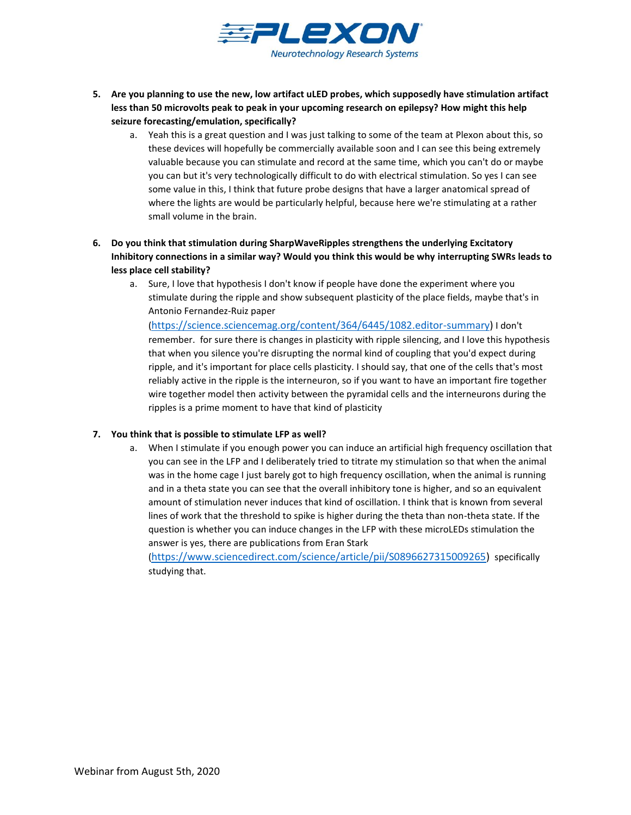

- **5. Are you planning to use the new, low artifact uLED probes, which supposedly have stimulation artifact less than 50 microvolts peak to peak in your upcoming research on epilepsy? How might this help seizure forecasting/emulation, specifically?**
	- a. Yeah this is a great question and I was just talking to some of the team at Plexon about this, so these devices will hopefully be commercially available soon and I can see this being extremely valuable because you can stimulate and record at the same time, which you can't do or maybe you can but it's very technologically difficult to do with electrical stimulation. So yes I can see some value in this, I think that future probe designs that have a larger anatomical spread of where the lights are would be particularly helpful, because here we're stimulating at a rather small volume in the brain.
- **6. Do you think that stimulation during SharpWaveRipples strengthens the underlying Excitatory Inhibitory connections in a similar way? Would you think this would be why interrupting SWRs leads to less place cell stability?**
	- a. Sure, I love that hypothesis I don't know if people have done the experiment where you stimulate during the ripple and show subsequent plasticity of the place fields, maybe that's in Antonio Fernandez-Ruiz paper

([https://science.sciencemag.org/content/364/6445/1082.editor-summary\)](https://science.sciencemag.org/content/364/6445/1082.editor-summary) I don't remember. for sure there is changes in plasticity with ripple silencing, and I love this hypothesis that when you silence you're disrupting the normal kind of coupling that you'd expect during ripple, and it's important for place cells plasticity. I should say, that one of the cells that's most reliably active in the ripple is the interneuron, so if you want to have an important fire together wire together model then activity between the pyramidal cells and the interneurons during the ripples is a prime moment to have that kind of plasticity

## **7. You think that is possible to stimulate LFP as well?**

a. When I stimulate if you enough power you can induce an artificial high frequency oscillation that you can see in the LFP and I deliberately tried to titrate my stimulation so that when the animal was in the home cage I just barely got to high frequency oscillation, when the animal is running and in a theta state you can see that the overall inhibitory tone is higher, and so an equivalent amount of stimulation never induces that kind of oscillation. I think that is known from several lines of work that the threshold to spike is higher during the theta than non-theta state. If the question is whether you can induce changes in the LFP with these microLEDs stimulation the answer is yes, there are publications from Eran Stark

([https://www.sciencedirect.com/science/article/pii/S0896627315009265\)](https://www.sciencedirect.com/science/article/pii/S0896627315009265) specifically studying that.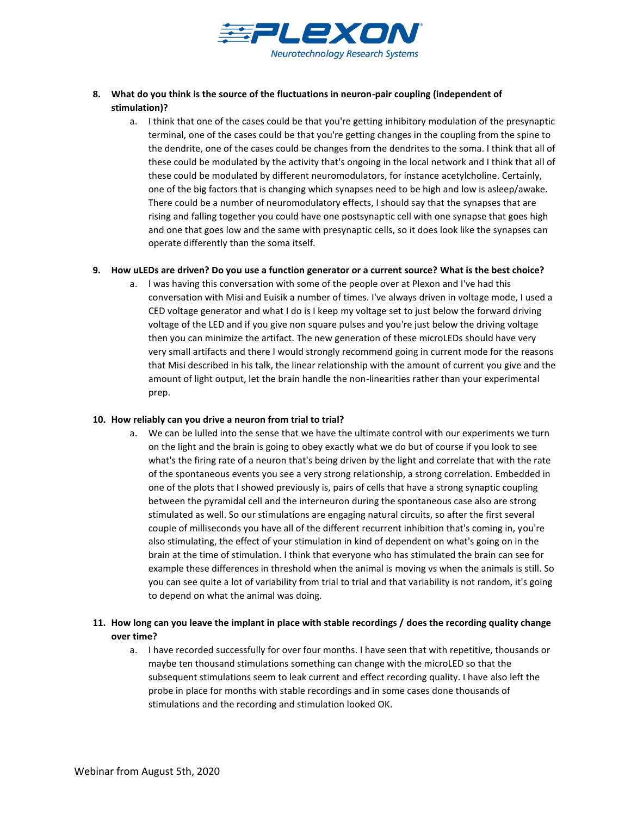

- **8. What do you think is the source of the fluctuations in neuron-pair coupling (independent of stimulation)?**
	- a. I think that one of the cases could be that you're getting inhibitory modulation of the presynaptic terminal, one of the cases could be that you're getting changes in the coupling from the spine to the dendrite, one of the cases could be changes from the dendrites to the soma. I think that all of these could be modulated by the activity that's ongoing in the local network and I think that all of these could be modulated by different neuromodulators, for instance acetylcholine. Certainly, one of the big factors that is changing which synapses need to be high and low is asleep/awake. There could be a number of neuromodulatory effects, I should say that the synapses that are rising and falling together you could have one postsynaptic cell with one synapse that goes high and one that goes low and the same with presynaptic cells, so it does look like the synapses can operate differently than the soma itself.

#### **9. How uLEDs are driven? Do you use a function generator or a current source? What is the best choice?**

a. I was having this conversation with some of the people over at Plexon and I've had this conversation with Misi and Euisik a number of times. I've always driven in voltage mode, I used a CED voltage generator and what I do is I keep my voltage set to just below the forward driving voltage of the LED and if you give non square pulses and you're just below the driving voltage then you can minimize the artifact. The new generation of these microLEDs should have very very small artifacts and there I would strongly recommend going in current mode for the reasons that Misi described in his talk, the linear relationship with the amount of current you give and the amount of light output, let the brain handle the non-linearities rather than your experimental prep.

## **10. How reliably can you drive a neuron from trial to trial?**

a. We can be lulled into the sense that we have the ultimate control with our experiments we turn on the light and the brain is going to obey exactly what we do but of course if you look to see what's the firing rate of a neuron that's being driven by the light and correlate that with the rate of the spontaneous events you see a very strong relationship, a strong correlation. Embedded in one of the plots that I showed previously is, pairs of cells that have a strong synaptic coupling between the pyramidal cell and the interneuron during the spontaneous case also are strong stimulated as well. So our stimulations are engaging natural circuits, so after the first several couple of milliseconds you have all of the different recurrent inhibition that's coming in, you're also stimulating, the effect of your stimulation in kind of dependent on what's going on in the brain at the time of stimulation. I think that everyone who has stimulated the brain can see for example these differences in threshold when the animal is moving vs when the animals is still. So you can see quite a lot of variability from trial to trial and that variability is not random, it's going to depend on what the animal was doing.

# **11. How long can you leave the implant in place with stable recordings / does the recording quality change over time?**

a. I have recorded successfully for over four months. I have seen that with repetitive, thousands or maybe ten thousand stimulations something can change with the microLED so that the subsequent stimulations seem to leak current and effect recording quality. I have also left the probe in place for months with stable recordings and in some cases done thousands of stimulations and the recording and stimulation looked OK.